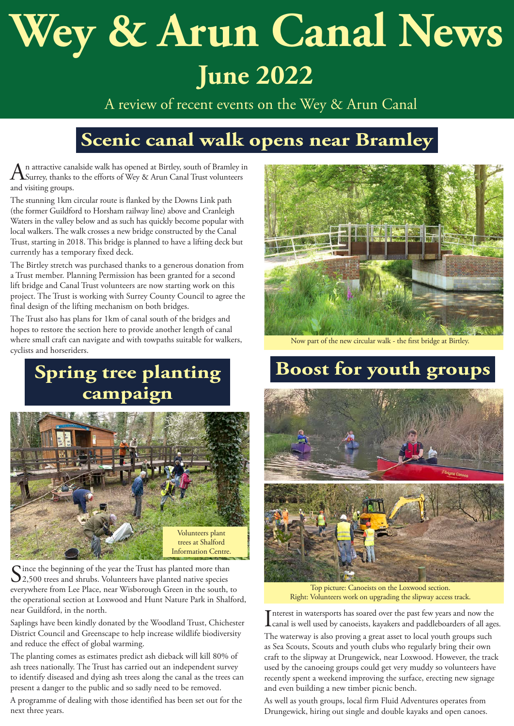# **Wey & Arun Canal News June 2022**

A review of recent events on the Wey & Arun Canal

# **Scenic canal walk opens near Bramley**

 $A$ n attractive canalside walk has opened at Birtley, south of Bramley in Surrey, thanks to the efforts of Wey & Arun Canal Trust volunteers and visiting groups.

The stunning 1km circular route is flanked by the Downs Link path (the former Guildford to Horsham railway line) above and Cranleigh Waters in the valley below and as such has quickly become popular with local walkers. The walk crosses a new bridge constructed by the Canal Trust, starting in 2018. This bridge is planned to have a lifting deck but currently has a temporary fixed deck.

The Birtley stretch was purchased thanks to a generous donation from a Trust member. Planning Permission has been granted for a second lift bridge and Canal Trust volunteers are now starting work on this project. The Trust is working with Surrey County Council to agree the final design of the lifting mechanism on both bridges.

The Trust also has plans for 1km of canal south of the bridges and hopes to restore the section here to provide another length of canal where small craft can navigate and with towpaths suitable for walkers, cyclists and horseriders.

#### **Spring tree planting campaign**



Since the beginning of the year the Trust has planted more than  $\sum_{2,500}$  trees and shrubs. Volunteers have planted native species everywhere from Lee Place, near Wisborough Green in the south, to the operational section at Loxwood and Hunt Nature Park in Shalford, near Guildford, in the north.

Saplings have been kindly donated by the Woodland Trust, Chichester District Council and Greenscape to help increase wildlife biodiversity and reduce the effect of global warming.

The planting comes as estimates predict ash dieback will kill 80% of ash trees nationally. The Trust has carried out an independent survey to identify diseased and dying ash trees along the canal as the trees can present a danger to the public and so sadly need to be removed.

A programme of dealing with those identified has been set out for the next three years.



Now part of the new circular walk - the first bridge at Birtley.

### **Boost for youth groups**



Top picture: Canoeists on the Loxwood section. Right: Volunteers work on upgrading the slipway access track.

Interest in watersports has soared over the past few years and now the canal is well used by canoeists, kayakers and paddleboarders of all age canal is well used by canoeists, kayakers and paddleboarders of all ages.

The waterway is also proving a great asset to local youth groups such as Sea Scouts, Scouts and youth clubs who regularly bring their own craft to the slipway at Drungewick, near Loxwood. However, the track used by the canoeing groups could get very muddy so volunteers have recently spent a weekend improving the surface, erecting new signage and even building a new timber picnic bench.

As well as youth groups, local firm Fluid Adventures operates from Drungewick, hiring out single and double kayaks and open canoes.